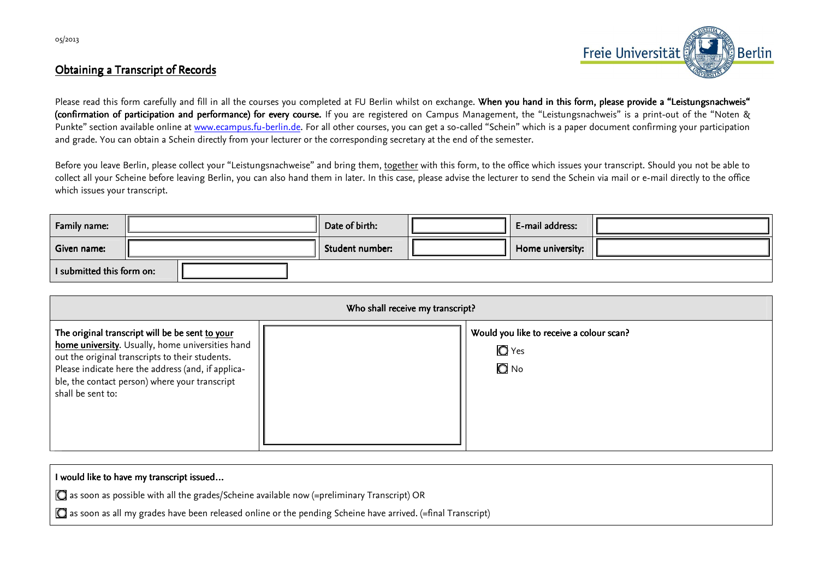

## Obtaining a Transcript of Records



Please read this form carefully and fill in all the courses you completed at FU Berlin whilst on exchange. **When you hand in this form, please provide a "Leistungsnachweis" (confirmation of participation and performance) for every course.** If you are registered on Campus Management, the "Leistungsnachweis" is a print-out of the "Noten & Punkte" section available online at www.ecampus.fu-berlin.de. For all other courses, you can get a so-called "Schein" which is a paper document confirming your participation and grade. You can obtain a Schein directly from your lecturer or the corresponding secretary at the end of the semester.

Before you leave Berlin, please collect your "Leistungsnachweise" and bring them, together with this form, to the office which issues your transcript. Should you not be able to collect all your Scheine before leaving Berlin, you can also hand them in later. In this case, please advise the lecturer to send the Schein via mail or e-mail directly to the office which issues your transcript.

| <b>Family name:</b>       |  |  | Date of birth:  | E-mail address:  |  |
|---------------------------|--|--|-----------------|------------------|--|
| Given name:               |  |  | Student number: | Home university: |  |
| I submitted this form on: |  |  |                 |                  |  |

| Who shall receive my transcript?                                                                                                                                                                                                                                                    |  |                                                                         |  |  |  |  |
|-------------------------------------------------------------------------------------------------------------------------------------------------------------------------------------------------------------------------------------------------------------------------------------|--|-------------------------------------------------------------------------|--|--|--|--|
| The original transcript will be be sent to your<br>home university. Usually, home universities hand<br>out the original transcripts to their students.<br>Please indicate here the address (and, if applica-<br>ble, the contact person) where your transcript<br>shall be sent to: |  | Would you like to receive a colour scan?<br>$\bigcirc$ Yes<br>$\Box$ No |  |  |  |  |

| I would like to have my transcript issued                                                                                    |
|------------------------------------------------------------------------------------------------------------------------------|
| as soon as possible with all the grades/Scheine available now (=preliminary Transcript) OR                                   |
| $\mid$ $\bullet$ as soon as all my grades have been released online or the pending Scheine have arrived. (=final Transcript) |